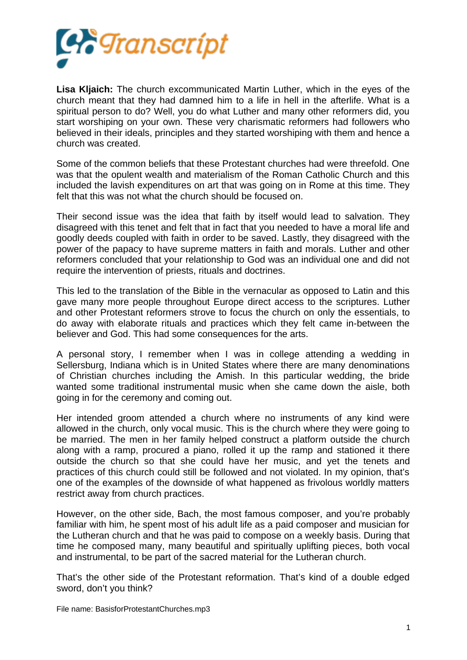

**Lisa Kljaich:** The church excommunicated Martin Luther, which in the eyes of the church meant that they had damned him to a life in hell in the afterlife. What is a spiritual person to do? Well, you do what Luther and many other reformers did, you start worshiping on your own. These very charismatic reformers had followers who believed in their ideals, principles and they started worshiping with them and hence a church was created.

Some of the common beliefs that these Protestant churches had were threefold. One was that the opulent wealth and materialism of the Roman Catholic Church and this included the lavish expenditures on art that was going on in Rome at this time. They felt that this was not what the church should be focused on.

Their second issue was the idea that faith by itself would lead to salvation. They disagreed with this tenet and felt that in fact that you needed to have a moral life and goodly deeds coupled with faith in order to be saved. Lastly, they disagreed with the power of the papacy to have supreme matters in faith and morals. Luther and other reformers concluded that your relationship to God was an individual one and did not require the intervention of priests, rituals and doctrines.

This led to the translation of the Bible in the vernacular as opposed to Latin and this gave many more people throughout Europe direct access to the scriptures. Luther and other Protestant reformers strove to focus the church on only the essentials, to do away with elaborate rituals and practices which they felt came in-between the believer and God. This had some consequences for the arts.

A personal story, I remember when I was in college attending a wedding in Sellersburg, Indiana which is in United States where there are many denominations of Christian churches including the Amish. In this particular wedding, the bride wanted some traditional instrumental music when she came down the aisle, both going in for the ceremony and coming out.

Her intended groom attended a church where no instruments of any kind were allowed in the church, only vocal music. This is the church where they were going to be married. The men in her family helped construct a platform outside the church along with a ramp, procured a piano, rolled it up the ramp and stationed it there outside the church so that she could have her music, and yet the tenets and practices of this church could still be followed and not violated. In my opinion, that's one of the examples of the downside of what happened as frivolous worldly matters restrict away from church practices.

However, on the other side, Bach, the most famous composer, and you're probably familiar with him, he spent most of his adult life as a paid composer and musician for the Lutheran church and that he was paid to compose on a weekly basis. During that time he composed many, many beautiful and spiritually uplifting pieces, both vocal and instrumental, to be part of the sacred material for the Lutheran church.

That's the other side of the Protestant reformation. That's kind of a double edged sword, don't you think?